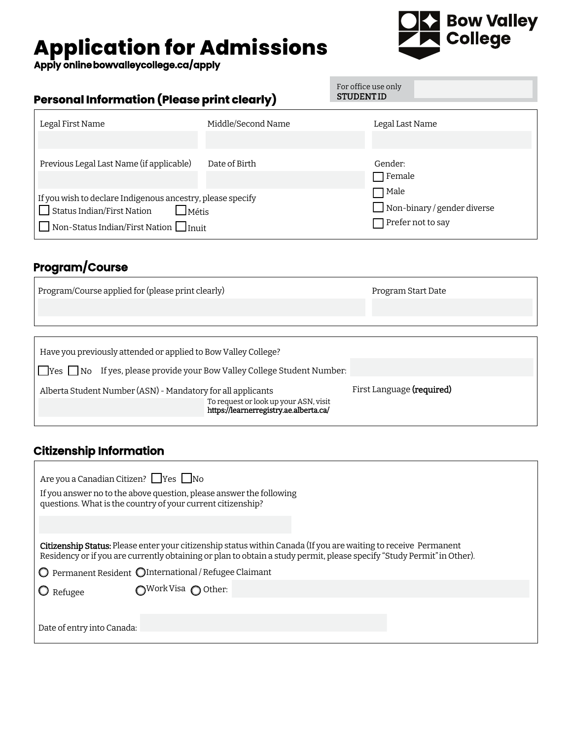## **Application for Admissions**

**Apply online bowvalleycollege.ca/apply**



| <b>Personal Information (Please print clearly)</b>                                                                                          |                    | <b>STUDENTID</b>                                                               |  |  |
|---------------------------------------------------------------------------------------------------------------------------------------------|--------------------|--------------------------------------------------------------------------------|--|--|
| Legal First Name                                                                                                                            | Middle/Second Name | Legal Last Name                                                                |  |  |
| Previous Legal Last Name (if applicable)                                                                                                    | Date of Birth      | Gender:<br>$\Box$ Female                                                       |  |  |
| If you wish to declare Indigenous ancestry, please specify<br>Status Indian/First Nation<br>Métis<br>Non-Status Indian/First Nation   Inuit |                    | □ Male<br>$\Box$ Non-binary / gender diverse<br>$\mathsf{T}$ Prefer not to say |  |  |

For office use only

## **Program/Course**

| Program/Course applied for (please print clearly) | Program Start Date |  |  |
|---------------------------------------------------|--------------------|--|--|
|                                                   |                    |  |  |

| Have you previously attended or applied to Bow Valley College?          |                                                                                 |                           |  |
|-------------------------------------------------------------------------|---------------------------------------------------------------------------------|---------------------------|--|
| UYes UNo If yes, please provide your Bow Valley College Student Number: |                                                                                 |                           |  |
| Alberta Student Number (ASN) - Mandatory for all applicants             |                                                                                 | First Language (required) |  |
|                                                                         | To request or look up your ASN, visit<br>https://learnerregistry.ae.alberta.ca/ |                           |  |
|                                                                         |                                                                                 |                           |  |

### **Citizenship Information**

| Are you a Canadian Citizen? $\Box$ Yes $\Box$ No<br>If you answer no to the above question, please answer the following<br>questions. What is the country of your current citizenship?                                                    |  |
|-------------------------------------------------------------------------------------------------------------------------------------------------------------------------------------------------------------------------------------------|--|
|                                                                                                                                                                                                                                           |  |
| Citizenship Status: Please enter your citizenship status within Canada (If you are waiting to receive Permanent<br>Residency or if you are currently obtaining or plan to obtain a study permit, please specify "Study Permit" in Other). |  |
| O Permanent Resident OInternational / Refugee Claimant                                                                                                                                                                                    |  |
| ∩Work Visa ∩ Other:<br>$\mathbf{\mathsf{Q}}$ Refugee                                                                                                                                                                                      |  |
|                                                                                                                                                                                                                                           |  |
| Date of entry into Canada:                                                                                                                                                                                                                |  |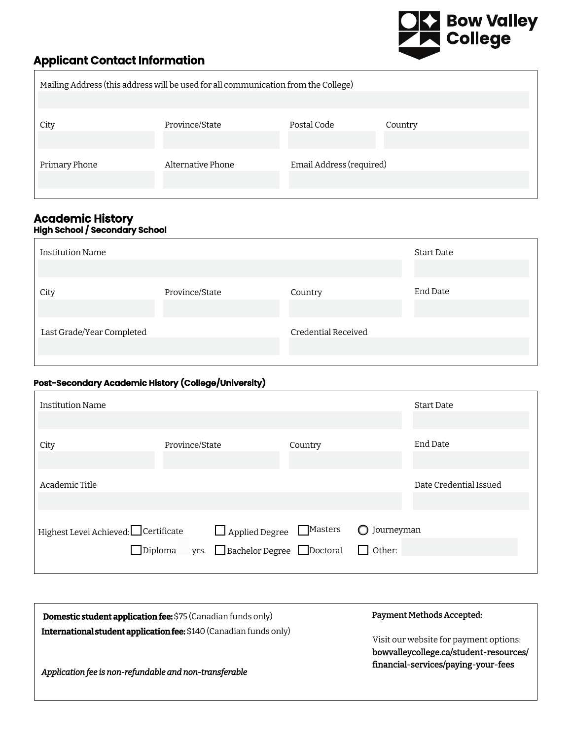# Sur Valley<br>Sur College

## **Applicant Contact Information**

|               | Mailing Address (this address will be used for all communication from the College) |                          |         |
|---------------|------------------------------------------------------------------------------------|--------------------------|---------|
| City          | Province/State                                                                     | Postal Code              | Country |
| Primary Phone | Alternative Phone                                                                  | Email Address (required) |         |

## **Academic History**

| High School / Secondary School |                |                     |            |
|--------------------------------|----------------|---------------------|------------|
| <b>Institution Name</b>        |                |                     | Start Date |
| City                           | Province/State | Country             | End Date   |
| Last Grade/Year Completed      |                | Credential Received |            |
|                                |                |                     |            |

#### **Post-Secondary Academic History (College/University)**

| <b>Institution Name</b>                                 |                                                           |         |                                         | <b>Start Date</b>      |
|---------------------------------------------------------|-----------------------------------------------------------|---------|-----------------------------------------|------------------------|
| City                                                    | Province/State                                            | Country |                                         | End Date               |
| Academic Title                                          |                                                           |         |                                         | Date Credential Issued |
| Highest Level Achieved: □ Certificate<br>$\Box$ Diploma | Applied Degree Masters<br>$yrs.$ Bachelor Degree Doctoral |         | Journeyman<br>$\Omega$<br>$\Box$ Other: |                        |

| <b>Domestic student application fee:</b> \$75 (Canadian funds only)       | Payment Methods Accepted:                                                        |  |
|---------------------------------------------------------------------------|----------------------------------------------------------------------------------|--|
| <b>International student application fee:</b> \$140 (Canadian funds only) | Visit our website for payment options:<br>bowvalleycollege.ca/student-resources/ |  |
| Application fee is non-refundable and non-transferable                    | financial-services/paying-your-fees                                              |  |